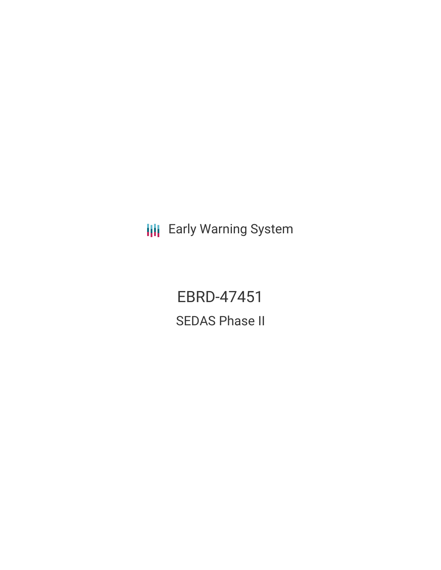**III** Early Warning System

EBRD-47451 SEDAS Phase II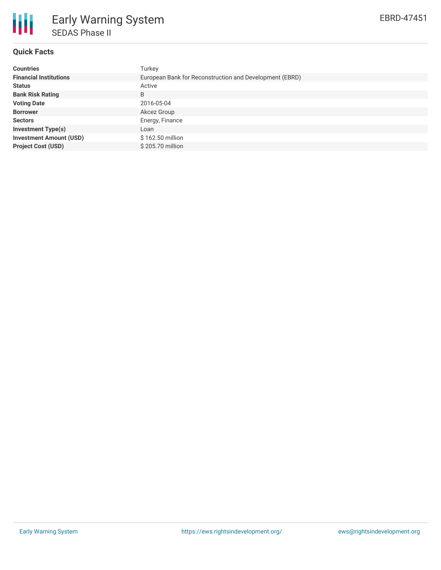

# **Quick Facts**

| <b>Countries</b>               | Turkey                                                  |
|--------------------------------|---------------------------------------------------------|
| <b>Financial Institutions</b>  | European Bank for Reconstruction and Development (EBRD) |
| <b>Status</b>                  | Active                                                  |
| <b>Bank Risk Rating</b>        | B                                                       |
| <b>Voting Date</b>             | 2016-05-04                                              |
| <b>Borrower</b>                | Akcez Group                                             |
| <b>Sectors</b>                 | Energy, Finance                                         |
| <b>Investment Type(s)</b>      | Loan                                                    |
| <b>Investment Amount (USD)</b> | \$162.50 million                                        |
| <b>Project Cost (USD)</b>      | \$205.70 million                                        |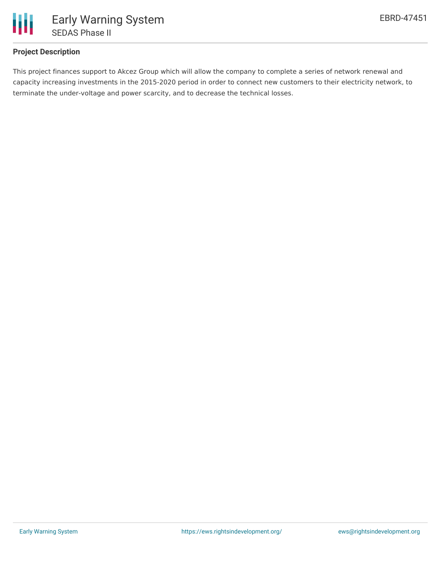

## **Project Description**

This project finances support to Akcez Group which will allow the company to complete a series of network renewal and capacity increasing investments in the 2015-2020 period in order to connect new customers to their electricity network, to terminate the under-voltage and power scarcity, and to decrease the technical losses.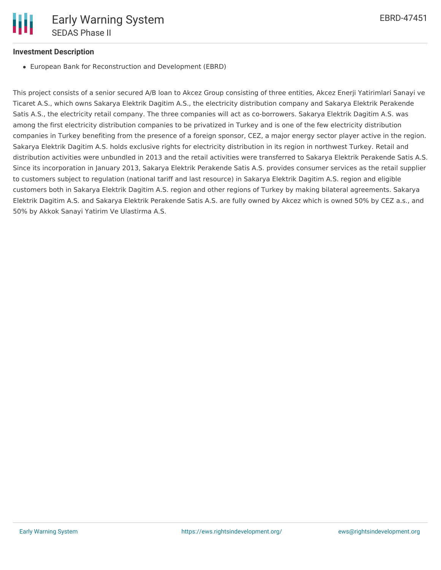### **Investment Description**

European Bank for Reconstruction and Development (EBRD)

This project consists of a senior secured A/B loan to Akcez Group consisting of three entities, Akcez Enerji Yatirimlari Sanayi ve Ticaret A.S., which owns Sakarya Elektrik Dagitim A.S., the electricity distribution company and Sakarya Elektrik Perakende Satis A.S., the electricity retail company. The three companies will act as co-borrowers. Sakarya Elektrik Dagitim A.S. was among the first electricity distribution companies to be privatized in Turkey and is one of the few electricity distribution companies in Turkey benefiting from the presence of a foreign sponsor, CEZ, a major energy sector player active in the region. Sakarya Elektrik Dagitim A.S. holds exclusive rights for electricity distribution in its region in northwest Turkey. Retail and distribution activities were unbundled in 2013 and the retail activities were transferred to Sakarya Elektrik Perakende Satis A.S. Since its incorporation in January 2013, Sakarya Elektrik Perakende Satis A.S. provides consumer services as the retail supplier to customers subject to regulation (national tariff and last resource) in Sakarya Elektrik Dagitim A.S. region and eligible customers both in Sakarya Elektrik Dagitim A.S. region and other regions of Turkey by making bilateral agreements. Sakarya Elektrik Dagitim A.S. and Sakarya Elektrik Perakende Satis A.S. are fully owned by Akcez which is owned 50% by CEZ a.s., and 50% by Akkok Sanayi Yatirim Ve Ulastirma A.S.